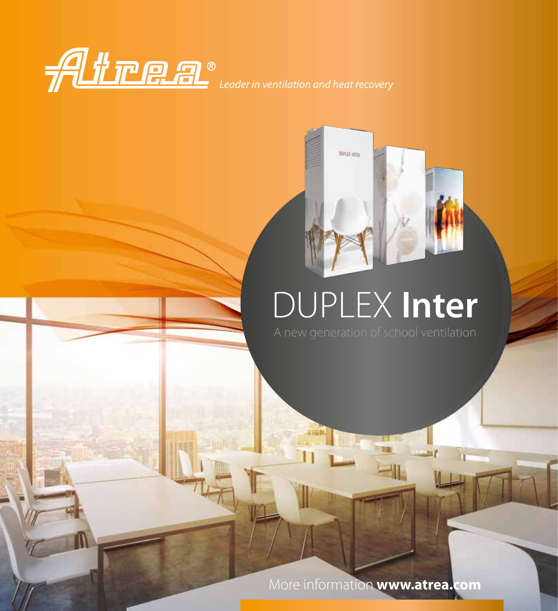



# DUPLEX **Inter**

More information **www.atrea.com**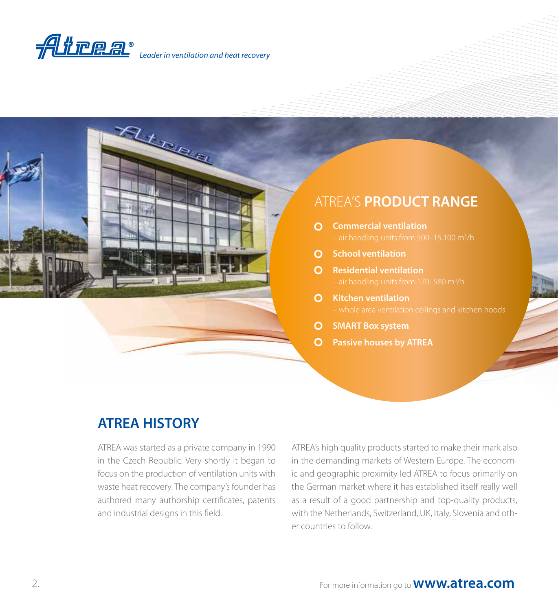



# **ATREA HISTORY**

ATREA was started as a private company in 1990 in the Czech Republic. Very shortly it began to focus on the production of ventilation units with waste heat recovery. The company's founder has authored many authorship certificates, patents and industrial designs in this field.

ATREA's high quality products started to make their mark also in the demanding markets of Western Europe. The economic and geographic proximity led ATREA to focus primarily on the German market where it has established itself really well as a result of a good partnership and top-quality products, with the Netherlands, Switzerland, UK, Italy, Slovenia and other countries to follow.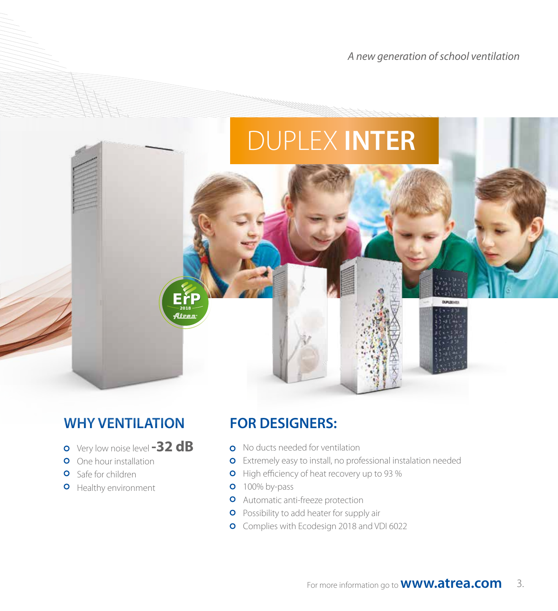*A new generation of school ventilation*

# DUPLEX **INTER Erp**

# **WHY VENTILATION**

- Very low noise level **-32 dB**
- **O** One hour installation
- **O** Safe for children
- **O** Healthy environment

# **FOR DESIGNERS:**

- **o** No ducts needed for ventilation
- **o** Extremely easy to install, no professional instalation needed
- **O** High efficiency of heat recovery up to 93 %
- **o** 100% by-pass
- **O** Automatic anti-freeze protection
- **O** Possibility to add heater for supply air
- Complies with Ecodesign 2018 and VDI 6022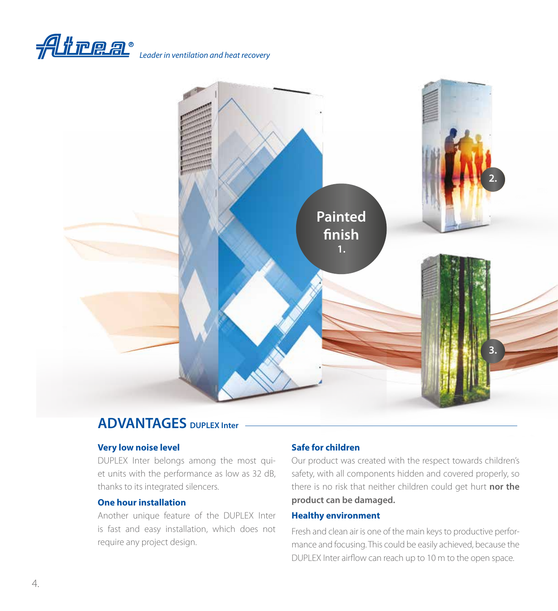



### **ADVANTAGES DUPLEX Inter**

#### **Very low noise level**

DUPLEX Inter belongs among the most quiet units with the performance as low as 32 dB, thanks to its integrated silencers.

#### **One hour installation**

Another unique feature of the DUPLEX Inter is fast and easy installation, which does not require any project design.

#### **Safe for children**

Our product was created with the respect towards children's safety, with all components hidden and covered properly, so there is no risk that neither children could get hurt **nor the product can be damaged.**

#### **Healthy environment**

Fresh and clean air is one of the main keys to productive performance and focusing. This could be easily achieved, because the DUPLEX Inter airflow can reach up to 10 m to the open space.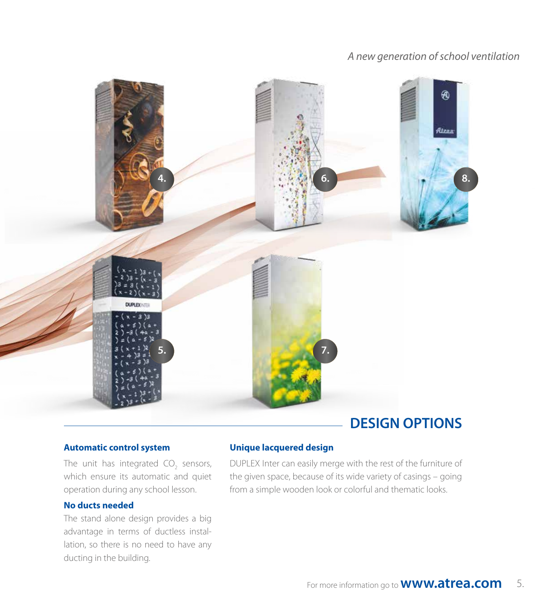#### *A new generation of school ventilation*



# **DESIGN OPTIONS**

#### **Automatic control system**

The unit has integrated  $CO_2$  sensors, which ensure its automatic and quiet operation during any school lesson.

#### **No ducts needed**

The stand alone design provides a big advantage in terms of ductless installation, so there is no need to have any ducting in the building.

#### **Unique lacquered design**

DUPLEX Inter can easily merge with the rest of the furniture of the given space, because of its wide variety of casings – going from a simple wooden look or colorful and thematic looks.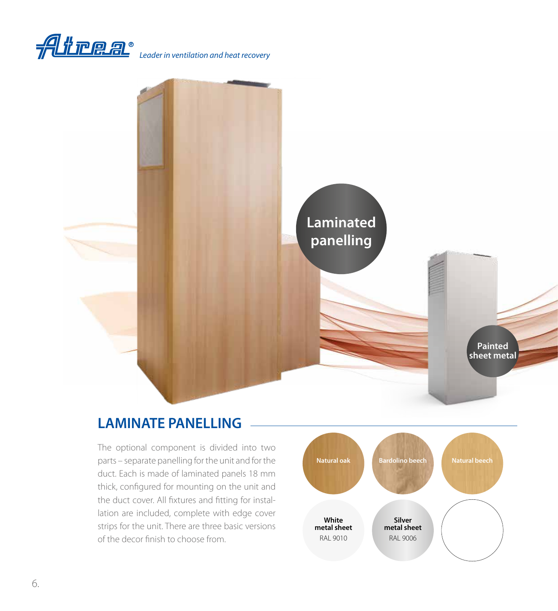



# **LAMINATE PANELLING**

The optional component is divided into two parts – separate panelling for the unit and for the duct. Each is made of laminated panels 18 mm thick, configured for mounting on the unit and the duct cover. All fixtures and fitting for installation are included, complete with edge cover strips for the unit. There are three basic versions of the decor finish to choose from.

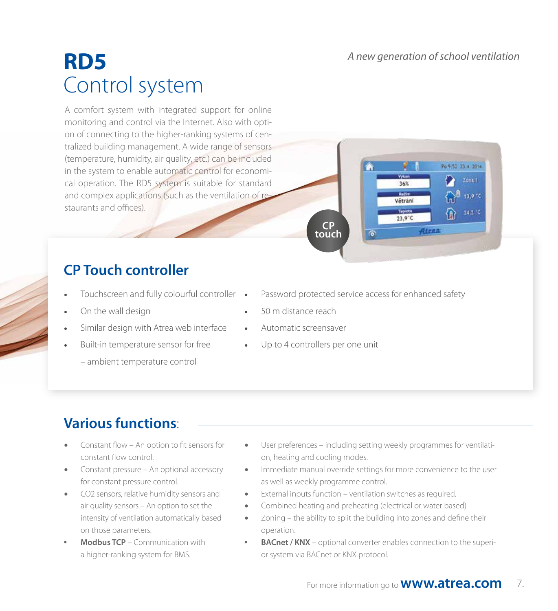*A new generation of school ventilation*

36% **Ballin** 

Větrani

23.9°C

Atrea

Po 9:52 23:4, 2014

 $13,9.1$ 

 $24,2.1$ 

# **RD5** Control system

A comfort system with integrated support for online monitoring and control via the Internet. Also with option of connecting to the higher-ranking systems of centralized building management. A wide range of sensors (temperature, humidity, air quality, etc.) can be included in the system to enable automatic control for economical operation. The RD5 system is suitable for standard and complex applications (such as the ventilation of restaurants and offices).

# **CP Touch controller**

- Touchscreen and fully colourful controller
- On the wall design
- Similar design with Atrea web interface
- Built-in temperature sensor for free
	- ambient temperature control

Password protected service access for enhanced safety

 $\overline{\bullet}$ 

- 50 m distance reach
- Automatic screensaver
- Up to 4 controllers per one unit

**CP touch**

# **Various functions**:

- Constant flow An option to fit sensors for constant flow control.
- Constant pressure An optional accessory for constant pressure control.
- CO2 sensors, relative humidity sensors and air quality sensors – An option to set the intensity of ventilation automatically based on those parameters.
- **Modbus TCP** Communication with a higher-ranking system for BMS.
- User preferences including setting weekly programmes for ventilation, heating and cooling modes.
- Immediate manual override settings for more convenience to the user as well as weekly programme control.
- External inputs function ventilation switches as required.
- Combined heating and preheating (electrical or water based)
- Zoning the ability to split the building into zones and define their operation.
- **BACnet / KNX** optional converter enables connection to the superior system via BACnet or KNX protocol.